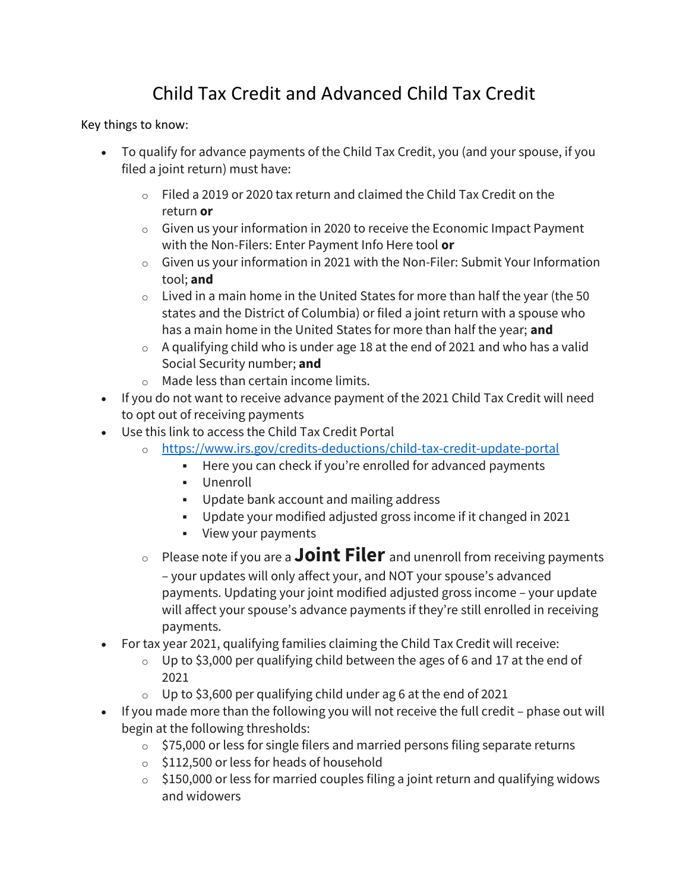## Child Tax Credit and Advanced Child Tax Credit

Key things to know:

- To qualify for advance payments of the Child Tax Credit, you (and your spouse, if you filed a joint return) must have:
	- o Filed a 2019 or 2020 tax return and claimed the Child Tax Credit on the return or
	- $\circ$  Given us your information in 2020 to receive the Economic Impact Payment with the Non-Filers: Enter Payment Info Here tool or
	- o Given us your information in 2021 with the Non-Filer: Submit Your Information tool; and
	- $\circ$  Lived in a main home in the United States for more than half the year (the 50 states and the District of Columbia) or filed a joint return with a spouse who has a main home in the United States for more than half the year; and
	- $\circ$  A qualifying child who is under age 18 at the end of 2021 and who has a valid Social Security number; and
	- o Made less than certain income limits.
- If you do not want to receive advance payment of the 2021 Child Tax Credit will need to opt out of receiving payments
- Use this link to access the Child Tax Credit Portal
	- o https://www.irs.gov/credits-deductions/child-tax-credit-update-portal
		- Here you can check if you're enrolled for advanced payments
		- Unenroll
		- Update bank account and mailing address
		- Update your modified adjusted gross income if it changed in 2021
		- **View your payments**
	- $\circ$  Please note if you are a **Joint Filer** and unenroll from receiving payments – your updates will only affect your, and NOT your spouse's advanced payments. Updating your joint modified adjusted gross income – your update will affect your spouse's advance payments if they're still enrolled in receiving payments.
- For tax year 2021, qualifying families claiming the Child Tax Credit will receive:
	- $\circ$  Up to \$3,000 per qualifying child between the ages of 6 and 17 at the end of 2021
	- $\circ$  Up to \$3,600 per qualifying child under ag 6 at the end of 2021
- If you made more than the following you will not receive the full credit phase out will begin at the following thresholds:
	- $\circ$  \$75,000 or less for single filers and married persons filing separate returns
	- $\circ$  \$112,500 or less for heads of household
	- $\circ$  \$150,000 or less for married couples filing a joint return and qualifying widows and widowers